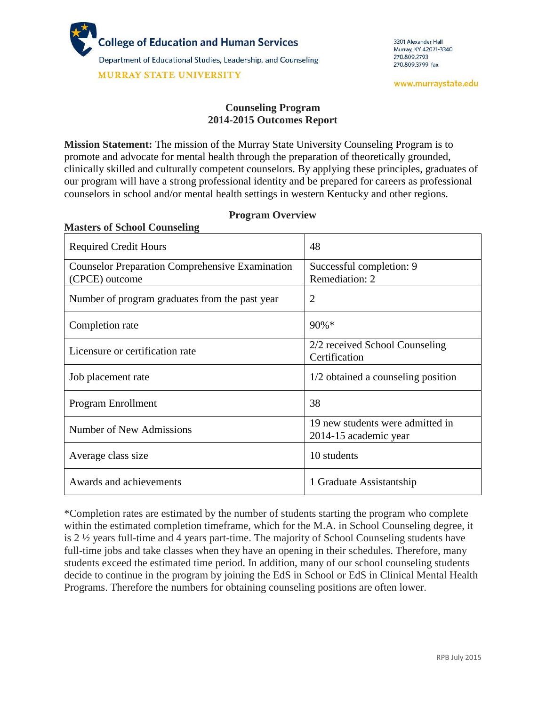

**Masters of School Counseling**

#### **Counseling Program 2014-2015 Outcomes Report**

**Mission Statement:** The mission of the Murray State University Counseling Program is to promote and advocate for mental health through the preparation of theoretically grounded, clinically skilled and culturally competent counselors. By applying these principles, graduates of our program will have a strong professional identity and be prepared for careers as professional counselors in school and/or mental health settings in western Kentucky and other regions.

| <b>Required Credit Hours</b>                                             | 48                                                        |
|--------------------------------------------------------------------------|-----------------------------------------------------------|
| <b>Counselor Preparation Comprehensive Examination</b><br>(CPCE) outcome | Successful completion: 9<br>Remediation: 2                |
| Number of program graduates from the past year                           | $\overline{2}$                                            |
| Completion rate                                                          | 90%*                                                      |
| Licensure or certification rate                                          | 2/2 received School Counseling<br>Certification           |
| Job placement rate                                                       | 1/2 obtained a counseling position                        |
| Program Enrollment                                                       | 38                                                        |
| Number of New Admissions                                                 | 19 new students were admitted in<br>2014-15 academic year |
| Average class size                                                       | 10 students                                               |
| Awards and achievements                                                  | 1 Graduate Assistantship                                  |

#### **Program Overview**

\*Completion rates are estimated by the number of students starting the program who complete within the estimated completion timeframe, which for the M.A. in School Counseling degree, it is 2 ½ years full-time and 4 years part-time. The majority of School Counseling students have full-time jobs and take classes when they have an opening in their schedules. Therefore, many students exceed the estimated time period. In addition, many of our school counseling students decide to continue in the program by joining the EdS in School or EdS in Clinical Mental Health Programs. Therefore the numbers for obtaining counseling positions are often lower.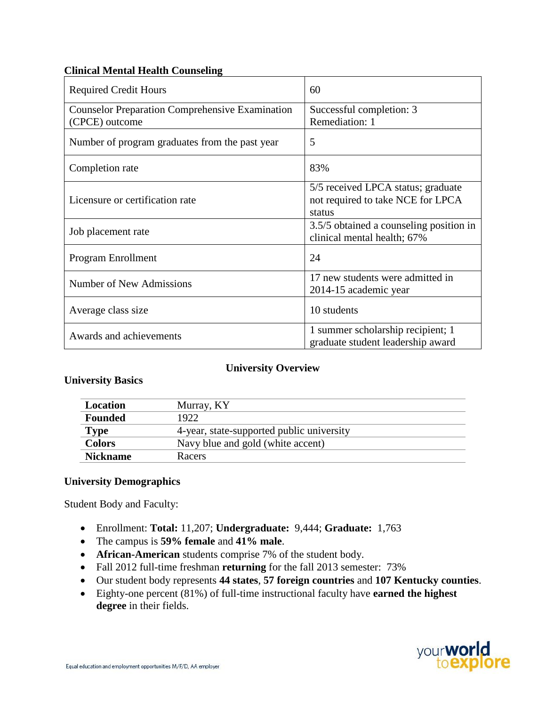# **Clinical Mental Health Counseling**

| <b>Required Credit Hours</b>                                             | 60                                                                                |  |
|--------------------------------------------------------------------------|-----------------------------------------------------------------------------------|--|
| <b>Counselor Preparation Comprehensive Examination</b><br>(CPCE) outcome | Successful completion: 3<br>Remediation: 1                                        |  |
| Number of program graduates from the past year                           | 5                                                                                 |  |
| Completion rate                                                          | 83%                                                                               |  |
| Licensure or certification rate                                          | 5/5 received LPCA status; graduate<br>not required to take NCE for LPCA<br>status |  |
| Job placement rate                                                       | 3.5/5 obtained a counseling position in<br>clinical mental health; 67%            |  |
| Program Enrollment                                                       | 24                                                                                |  |
| Number of New Admissions                                                 | 17 new students were admitted in<br>2014-15 academic year                         |  |
| Average class size                                                       | 10 students                                                                       |  |
| Awards and achievements                                                  | 1 summer scholarship recipient; 1<br>graduate student leadership award            |  |

## **University Overview**

## **University Basics**

| Location        | Murray, KY                                |
|-----------------|-------------------------------------------|
| <b>Founded</b>  | 1922                                      |
| <b>Type</b>     | 4-year, state-supported public university |
| <b>Colors</b>   | Navy blue and gold (white accent)         |
| <b>Nickname</b> | Racers                                    |

## **University Demographics**

Student Body and Faculty:

- Enrollment: **Total:** 11,207; **Undergraduate:** 9,444; **Graduate:** 1,763
- The campus is **59% female** and **41% male**.
- **African-American** students comprise 7% of the student body.
- Fall 2012 full-time freshman **returning** for the fall 2013 semester: 73%
- Our student body represents **44 states**, **57 foreign countries** and **107 Kentucky counties**.
- Eighty-one percent (81%) of full-time instructional faculty have **earned the highest degree** in their fields.